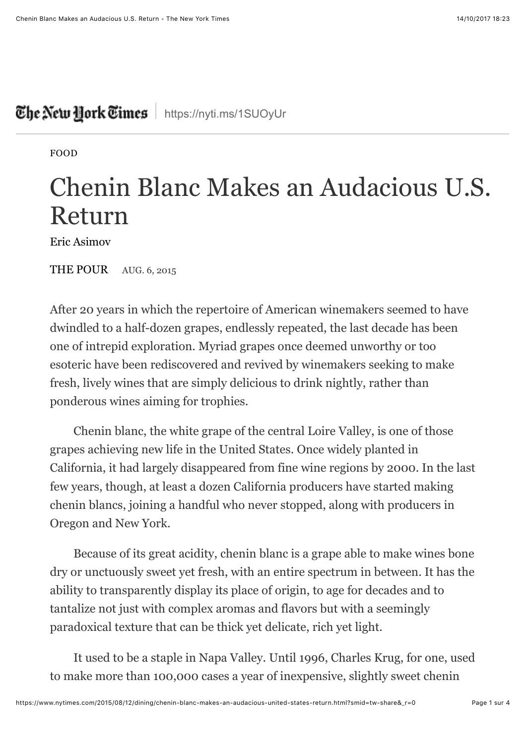## The New Hork Times | <https://nyti.ms/1SUOyUr>

[FOOD](https://www.nytimes.com/pages/dining/index.html)

## Chenin Blanc Makes an Audacious U.S. Return

[Eric Asimov](https://www.nytimes.com/by/eric-asimov)

[THE POUR](https://www.nytimes.com/column/the-pour) AUG. 6, 2015

After 20 years in which the repertoire of American winemakers seemed to have dwindled to a half-dozen grapes, endlessly repeated, the last decade has been one of intrepid exploration. Myriad grapes once deemed unworthy or too esoteric have been rediscovered and revived by winemakers seeking to make fresh, lively wines that are simply delicious to drink nightly, rather than ponderous wines aiming for trophies.

Chenin blanc, the white grape of the central Loire Valley, is one of those grapes achieving new life in the United States. Once widely planted in California, it had largely disappeared from fine wine regions by 2000. In the last few years, though, at least a dozen California producers have started making chenin blancs, joining a handful who never stopped, along with producers in Oregon and New York.

Because of its great acidity, chenin blanc is a grape able to make wines bone dry or unctuously sweet yet fresh, with an entire spectrum in between. It has the ability to transparently display its place of origin, to age for decades and to tantalize not just with complex aromas and flavors but with a seemingly paradoxical texture that can be thick yet delicate, rich yet light.

It used to be a staple in Napa Valley. Until 1996, Charles Krug, for one, used to make more than 100,000 cases a year of inexpensive, slightly sweet chenin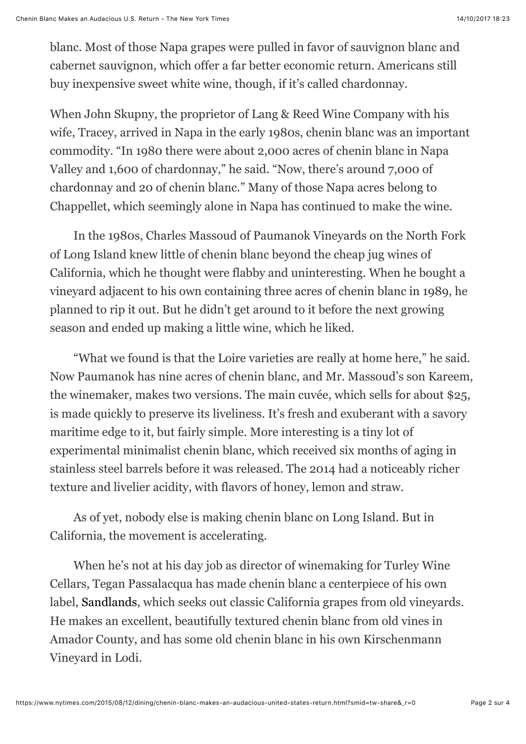blanc. Most of those Napa grapes were pulled in favor of sauvignon blanc and cabernet sauvignon, which offer a far better economic return. Americans still buy inexpensive sweet white wine, though, if it's called chardonnay.

When John Skupny, the proprietor of Lang & Reed Wine Company with his wife, Tracey, arrived in Napa in the early 1980s, chenin blanc was an important commodity. "In 1980 there were about 2,000 acres of chenin blanc in Napa Valley and 1,600 of chardonnay," he said. "Now, there's around 7,000 of chardonnay and 20 of chenin blanc." Many of those Napa acres belong to Chappellet, which seemingly alone in Napa has continued to make the wine.

In the 1980s, Charles Massoud of Paumanok Vineyards on the North Fork of Long Island knew little of chenin blanc beyond the cheap jug wines of California, which he thought were flabby and uninteresting. When he bought a vineyard adjacent to his own containing three acres of chenin blanc in 1989, he planned to rip it out. But he didn't get around to it before the next growing season and ended up making a little wine, which he liked.

"What we found is that the Loire varieties are really at home here," he said. Now Paumanok has nine acres of chenin blanc, and Mr. Massoud's son Kareem, the winemaker, makes two versions. The main cuvée, which sells for about \$25, is made quickly to preserve its liveliness. It's fresh and exuberant with a savory maritime edge to it, but fairly simple. More interesting is a tiny lot of experimental minimalist chenin blanc, which received six months of aging in stainless steel barrels before it was released. The 2014 had a noticeably richer texture and livelier acidity, with flavors of honey, lemon and straw.

As of yet, nobody else is making chenin blanc on Long Island. But in California, the movement is accelerating.

When he's not at his day job as director of winemaking for Turley Wine Cellars, Tegan Passalacqua has made chenin blanc a centerpiece of his own label, [Sandlands](https://www.sandlandsvineyards.com/about), which seeks out classic California grapes from old vineyards. He makes an excellent, beautifully textured chenin blanc from old vines in Amador County, and has some old chenin blanc in his own Kirschenmann Vineyard in Lodi.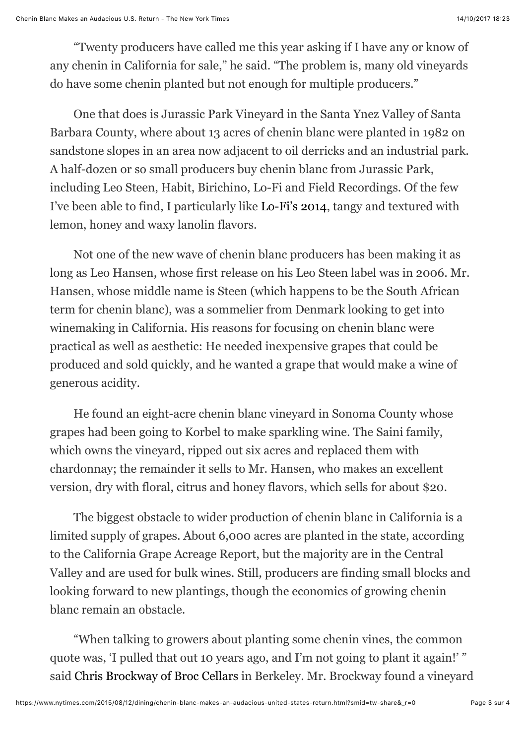"Twenty producers have called me this year asking if I have any or know of any chenin in California for sale," he said. "The problem is, many old vineyards do have some chenin planted but not enough for multiple producers."

One that does is Jurassic Park Vineyard in the Santa Ynez Valley of Santa Barbara County, where about 13 acres of chenin blanc were planted in 1982 on sandstone slopes in an area now adjacent to oil derricks and an industrial park. A half-dozen or so small producers buy chenin blanc from Jurassic Park, including Leo Steen, Habit, Birichino, Lo-Fi and Field Recordings. Of the few I've been able to find, I particularly like [Lo-Fi's 2014,](http://lofi-wines.com/) tangy and textured with lemon, honey and waxy lanolin flavors.

Not one of the new wave of chenin blanc producers has been making it as long as Leo Hansen, whose first release on his Leo Steen label was in 2006. Mr. Hansen, whose middle name is Steen (which happens to be the South African term for chenin blanc), was a sommelier from Denmark looking to get into winemaking in California. His reasons for focusing on chenin blanc were practical as well as aesthetic: He needed inexpensive grapes that could be produced and sold quickly, and he wanted a grape that would make a wine of generous acidity.

He found an eight-acre chenin blanc vineyard in Sonoma County whose grapes had been going to Korbel to make sparkling wine. The Saini family, which owns the vineyard, ripped out six acres and replaced them with chardonnay; the remainder it sells to Mr. Hansen, who makes an excellent version, dry with floral, citrus and honey flavors, which sells for about \$20.

The biggest obstacle to wider production of chenin blanc in California is a limited supply of grapes. About 6,000 acres are planted in the state, according to the California Grape Acreage Report, but the majority are in the Central Valley and are used for bulk wines. Still, producers are finding small blocks and looking forward to new plantings, though the economics of growing chenin blanc remain an obstacle.

"When talking to growers about planting some chenin vines, the common quote was, 'I pulled that out 10 years ago, and I'm not going to plant it again!' " said [Chris Brockway of Broc Cellars](http://www.nytimes.com/2014/03/26/dining/fruit-of-the-bartered-vine.html?_r=1) in Berkeley. Mr. Brockway found a vineyard